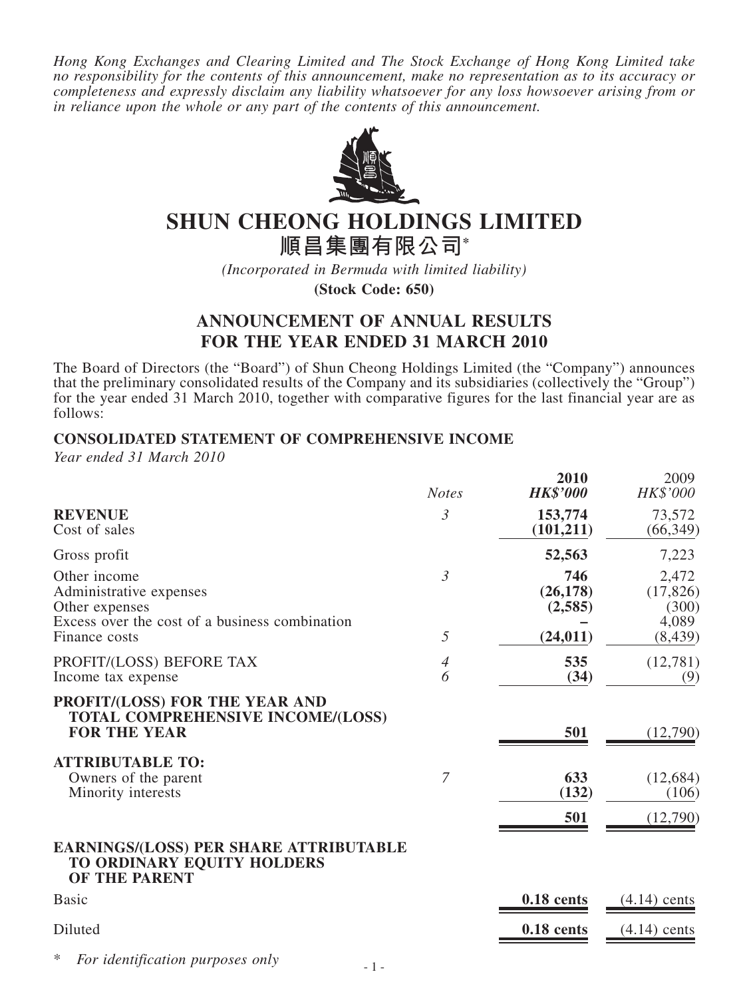*Hong Kong Exchanges and Clearing Limited and The Stock Exchange of Hong Kong Limited take no responsibility for the contents of this announcement, make no representation as to its accuracy or completeness and expressly disclaim any liability whatsoever for any loss howsoever arising from or in reliance upon the whole or any part of the contents of this announcement.*



# **SHUN CHEONG HOLDINGS LIMITED**

**順昌集團有限公司\***

*(Incorporated in Bermuda with limited liability)*

**(Stock Code: 650)**

# **ANNOUNCEMENT OF ANNUAL RESULTS FOR THE YEAR ENDED 31 MARCH 2010**

The Board of Directors (the "Board") of Shun Cheong Holdings Limited (the "Company") announces that the preliminary consolidated results of the Company and its subsidiaries (collectively the "Group") for the year ended 31 March 2010, together with comparative figures for the last financial year are as follows:

### **CONSOLIDATED STATEMENT OF COMPREHENSIVE INCOME**

*Year ended 31 March 2010*

|                                                                                                             | <b>Notes</b>        | 2010<br><b>HK\$'000</b>     | 2009<br>HK\$'000                     |
|-------------------------------------------------------------------------------------------------------------|---------------------|-----------------------------|--------------------------------------|
| <b>REVENUE</b><br>Cost of sales                                                                             | 3                   | 153,774<br>(101, 211)       | 73,572<br>(66, 349)                  |
| Gross profit                                                                                                |                     | 52,563                      | 7,223                                |
| Other income<br>Administrative expenses<br>Other expenses<br>Excess over the cost of a business combination | $\mathfrak{Z}$<br>5 | 746<br>(26, 178)<br>(2,585) | 2,472<br>(17, 826)<br>(300)<br>4,089 |
| Finance costs                                                                                               |                     | (24, 011)                   | (8, 439)                             |
| PROFIT/(LOSS) BEFORE TAX<br>Income tax expense                                                              | $\overline{4}$<br>6 | 535<br>(34)                 | (12,781)<br>(9)                      |
| PROFIT/(LOSS) FOR THE YEAR AND<br><b>TOTAL COMPREHENSIVE INCOME/(LOSS)</b><br><b>FOR THE YEAR</b>           |                     | 501                         | (12,790)                             |
| <b>ATTRIBUTABLE TO:</b>                                                                                     |                     |                             |                                      |
| Owners of the parent<br>Minority interests                                                                  | $\overline{7}$      | 633<br>(132)                | (12, 684)<br>(106)                   |
|                                                                                                             |                     | 501                         | (12,790)                             |
| <b>EARNINGS/(LOSS) PER SHARE ATTRIBUTABLE</b><br>TO ORDINARY EQUITY HOLDERS<br><b>OF THE PARENT</b>         |                     |                             |                                      |
| <b>Basic</b>                                                                                                |                     | 0.18 cents                  | $(4.14)$ cents                       |
| Diluted                                                                                                     |                     | 0.18 cents                  | $(4.14)$ cents                       |

*For identification purposes only*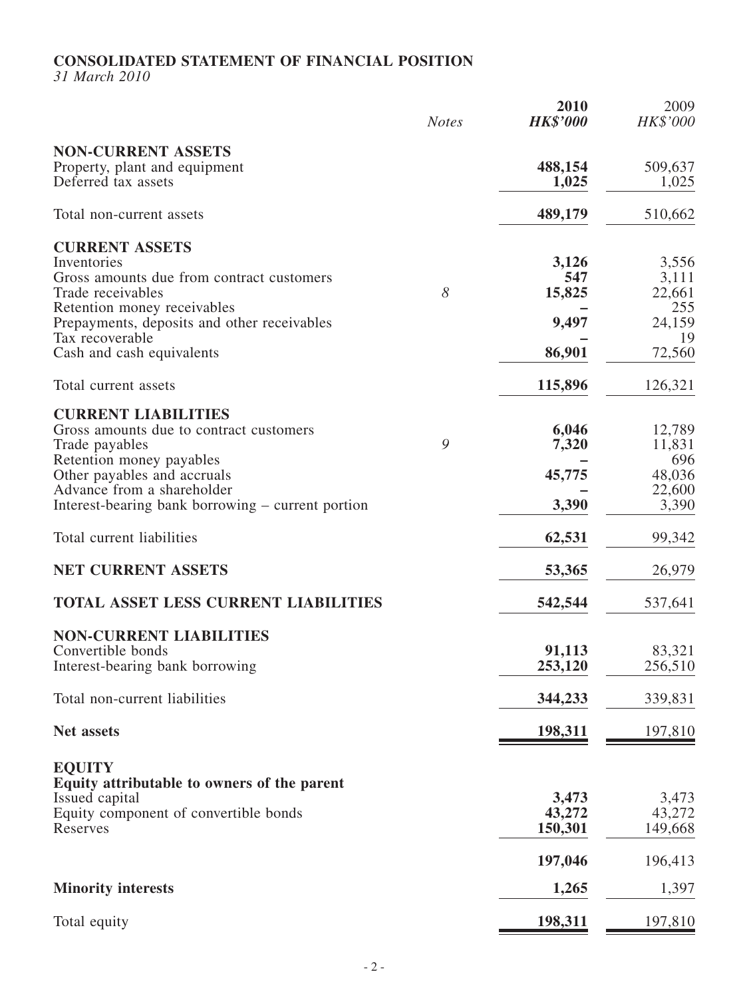### **CONSOLIDATED STATEMENT OF FINANCIAL POSITION**

*31 March 2010*

|                                                                                                                                                                                                                                      | <b>Notes</b> | 2010<br><b>HK\$'000</b>                   | 2009<br>HK\$'000                                          |
|--------------------------------------------------------------------------------------------------------------------------------------------------------------------------------------------------------------------------------------|--------------|-------------------------------------------|-----------------------------------------------------------|
| <b>NON-CURRENT ASSETS</b><br>Property, plant and equipment<br>Deferred tax assets                                                                                                                                                    |              | 488,154<br>1,025                          | 509,637<br>1,025                                          |
| Total non-current assets                                                                                                                                                                                                             |              | 489,179                                   | 510,662                                                   |
| <b>CURRENT ASSETS</b><br>Inventories<br>Gross amounts due from contract customers<br>Trade receivables<br>Retention money receivables<br>Prepayments, deposits and other receivables<br>Tax recoverable<br>Cash and cash equivalents | 8            | 3,126<br>547<br>15,825<br>9,497<br>86,901 | 3,556<br>3,111<br>22,661<br>255<br>24,159<br>19<br>72,560 |
|                                                                                                                                                                                                                                      |              |                                           |                                                           |
| Total current assets<br><b>CURRENT LIABILITIES</b>                                                                                                                                                                                   |              | 115,896                                   | 126,321                                                   |
| Gross amounts due to contract customers<br>Trade payables<br>Retention money payables                                                                                                                                                | 9            | 6,046<br>7,320                            | 12,789<br>11,831<br>696                                   |
| Other payables and accruals<br>Advance from a shareholder<br>Interest-bearing bank borrowing – current portion                                                                                                                       |              | 45,775<br>3,390                           | 48,036<br>22,600<br>3,390                                 |
| Total current liabilities                                                                                                                                                                                                            |              | 62,531                                    | 99,342                                                    |
| <b>NET CURRENT ASSETS</b>                                                                                                                                                                                                            |              | 53,365                                    | 26,979                                                    |
| <b>TOTAL ASSET LESS CURRENT LIABILITIES</b>                                                                                                                                                                                          |              | 542,544                                   | 537,641                                                   |
| <b>NON-CURRENT LIABILITIES</b><br>Convertible bonds<br>Interest-bearing bank borrowing                                                                                                                                               |              | 91,113<br>253,120                         | 83,321<br>256,510                                         |
| Total non-current liabilities                                                                                                                                                                                                        |              | 344,233                                   | 339,831                                                   |
| <b>Net assets</b>                                                                                                                                                                                                                    |              | 198,311                                   | 197,810                                                   |
| <b>EQUITY</b><br>Equity attributable to owners of the parent                                                                                                                                                                         |              |                                           |                                                           |
| Issued capital<br>Equity component of convertible bonds<br>Reserves                                                                                                                                                                  |              | 3,473<br>43,272<br>150,301                | 3,473<br>43,272<br>149,668                                |
|                                                                                                                                                                                                                                      |              | 197,046                                   | 196,413                                                   |
| <b>Minority interests</b>                                                                                                                                                                                                            |              | 1,265                                     | 1,397                                                     |
| Total equity                                                                                                                                                                                                                         |              | <u>198,311</u>                            | <u>197,810</u>                                            |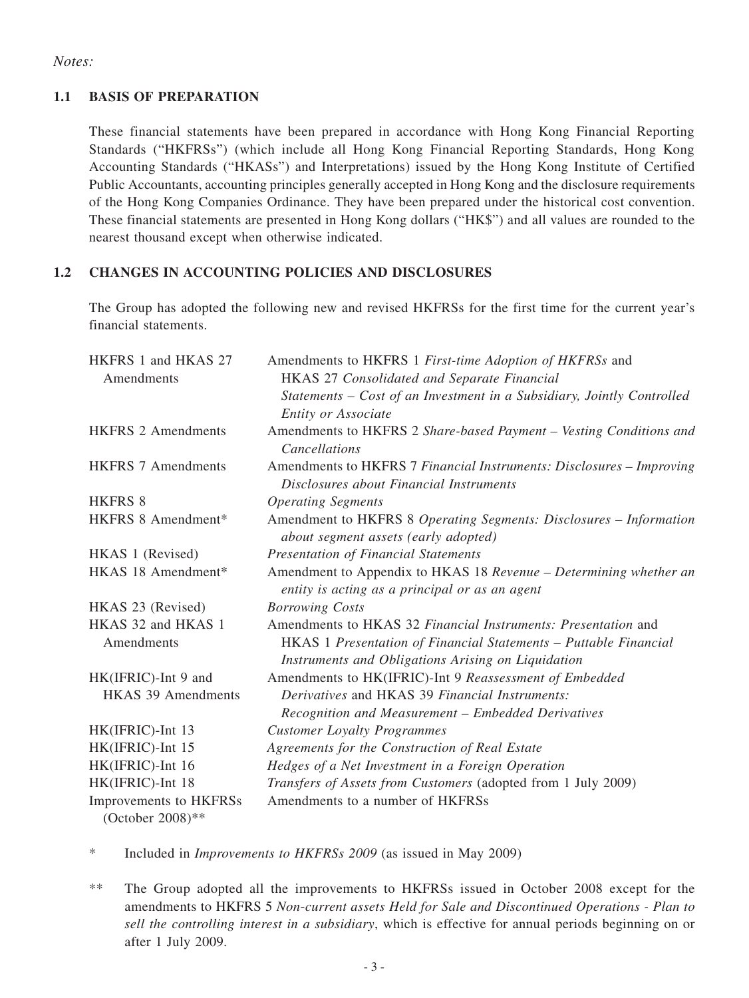### *Notes:*

### **1.1 BASIS OF PREPARATION**

These financial statements have been prepared in accordance with Hong Kong Financial Reporting Standards ("HKFRSs") (which include all Hong Kong Financial Reporting Standards, Hong Kong Accounting Standards ("HKASs") and Interpretations) issued by the Hong Kong Institute of Certified Public Accountants, accounting principles generally accepted in Hong Kong and the disclosure requirements of the Hong Kong Companies Ordinance. They have been prepared under the historical cost convention. These financial statements are presented in Hong Kong dollars ("HK\$") and all values are rounded to the nearest thousand except when otherwise indicated.

### **1.2 changes IN ACCOUNTING policies AND DISCLOSURES**

The Group has adopted the following new and revised HKFRSs for the first time for the current year's financial statements.

| HKFRS 1 and HKAS 27<br>Amendments | Amendments to HKFRS 1 First-time Adoption of HKFRSs and<br>HKAS 27 Consolidated and Separate Financial                 |
|-----------------------------------|------------------------------------------------------------------------------------------------------------------------|
|                                   | Statements - Cost of an Investment in a Subsidiary, Jointly Controlled<br>Entity or Associate                          |
| <b>HKFRS 2 Amendments</b>         | Amendments to HKFRS 2 Share-based Payment - Vesting Conditions and<br>Cancellations                                    |
| <b>HKFRS 7 Amendments</b>         | Amendments to HKFRS 7 Financial Instruments: Disclosures - Improving<br>Disclosures about Financial Instruments        |
| <b>HKFRS 8</b>                    | <b>Operating Segments</b>                                                                                              |
| HKFRS 8 Amendment*                | Amendment to HKFRS 8 Operating Segments: Disclosures - Information<br>about segment assets (early adopted)             |
| HKAS 1 (Revised)                  | Presentation of Financial Statements                                                                                   |
| HKAS 18 Amendment*                | Amendment to Appendix to HKAS 18 Revenue - Determining whether an<br>entity is acting as a principal or as an agent    |
| HKAS 23 (Revised)                 | <b>Borrowing Costs</b>                                                                                                 |
| HKAS 32 and HKAS 1                | Amendments to HKAS 32 Financial Instruments: Presentation and                                                          |
| Amendments                        | HKAS 1 Presentation of Financial Statements - Puttable Financial<br>Instruments and Obligations Arising on Liquidation |
| HK(IFRIC)-Int 9 and               | Amendments to HK(IFRIC)-Int 9 Reassessment of Embedded                                                                 |
| <b>HKAS 39 Amendments</b>         | Derivatives and HKAS 39 Financial Instruments:<br>Recognition and Measurement – Embedded Derivatives                   |
| HK(IFRIC)-Int 13                  | <b>Customer Loyalty Programmes</b>                                                                                     |
| HK(IFRIC)-Int 15                  | Agreements for the Construction of Real Estate                                                                         |
| HK(IFRIC)-Int 16                  | Hedges of a Net Investment in a Foreign Operation                                                                      |
| HK(IFRIC)-Int 18                  | Transfers of Assets from Customers (adopted from 1 July 2009)                                                          |
| Improvements to HKFRSs            | Amendments to a number of HKFRSs                                                                                       |
| (October 2008)**                  |                                                                                                                        |

\* Included in *Improvements to HKFRSs 2009* (as issued in May 2009)

\*\* The Group adopted all the improvements to HKFRSs issued in October 2008 except for the amendments to HKFRS 5 *Non*-*current assets Held for Sale and Discontinued Operations - Plan to sell the controlling interest in a subsidiary*, which is effective for annual periods beginning on or after 1 July 2009.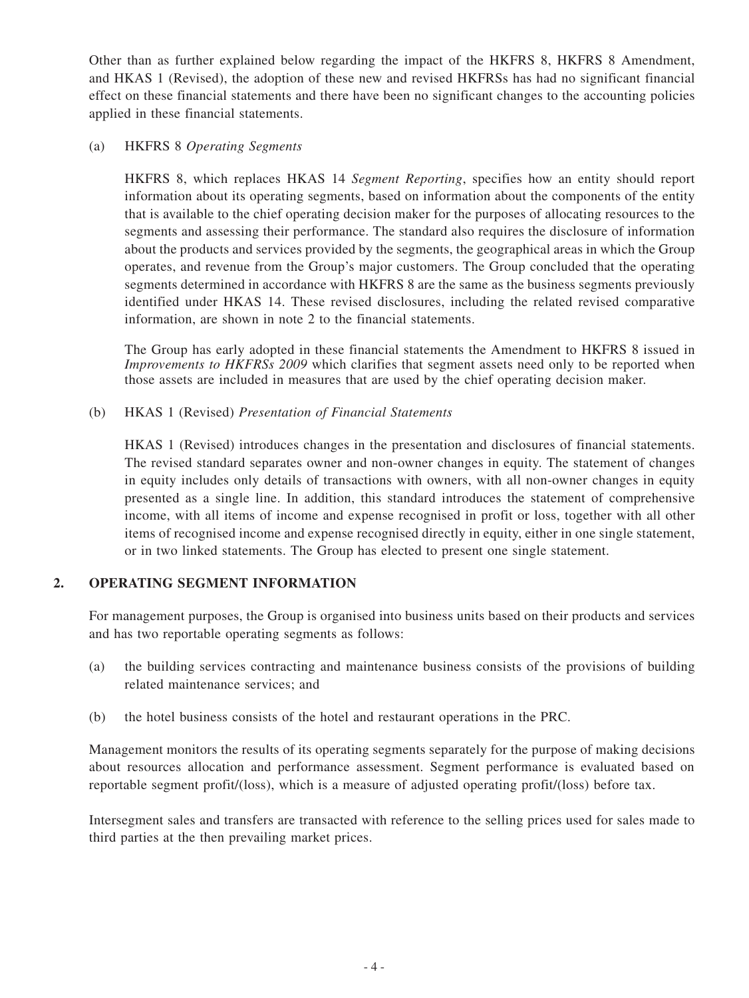Other than as further explained below regarding the impact of the HKFRS 8, HKFRS 8 Amendment, and HKAS 1 (Revised), the adoption of these new and revised HKFRSs has had no significant financial effect on these financial statements and there have been no significant changes to the accounting policies applied in these financial statements.

### (a) HKFRS 8 *Operating Segments*

HKFRS 8, which replaces HKAS 14 *Segment Reporting*, specifies how an entity should report information about its operating segments, based on information about the components of the entity that is available to the chief operating decision maker for the purposes of allocating resources to the segments and assessing their performance. The standard also requires the disclosure of information about the products and services provided by the segments, the geographical areas in which the Group operates, and revenue from the Group's major customers. The Group concluded that the operating segments determined in accordance with HKFRS 8 are the same as the business segments previously identified under HKAS 14. These revised disclosures, including the related revised comparative information, are shown in note 2 to the financial statements.

The Group has early adopted in these financial statements the Amendment to HKFRS 8 issued in *Improvements to HKFRSs 2009* which clarifies that segment assets need only to be reported when those assets are included in measures that are used by the chief operating decision maker.

(b) HKAS 1 (Revised) *Presentation of Financial Statements*

HKAS 1 (Revised) introduces changes in the presentation and disclosures of financial statements. The revised standard separates owner and non-owner changes in equity. The statement of changes in equity includes only details of transactions with owners, with all non-owner changes in equity presented as a single line. In addition, this standard introduces the statement of comprehensive income, with all items of income and expense recognised in profit or loss, together with all other items of recognised income and expense recognised directly in equity, either in one single statement, or in two linked statements. The Group has elected to present one single statement.

### **2. OPERATING SEGMENT INFORMATION**

For management purposes, the Group is organised into business units based on their products and services and has two reportable operating segments as follows:

- (a) the building services contracting and maintenance business consists of the provisions of building related maintenance services; and
- (b) the hotel business consists of the hotel and restaurant operations in the PRC.

Management monitors the results of its operating segments separately for the purpose of making decisions about resources allocation and performance assessment. Segment performance is evaluated based on reportable segment profit/(loss), which is a measure of adjusted operating profit/(loss) before tax.

Intersegment sales and transfers are transacted with reference to the selling prices used for sales made to third parties at the then prevailing market prices.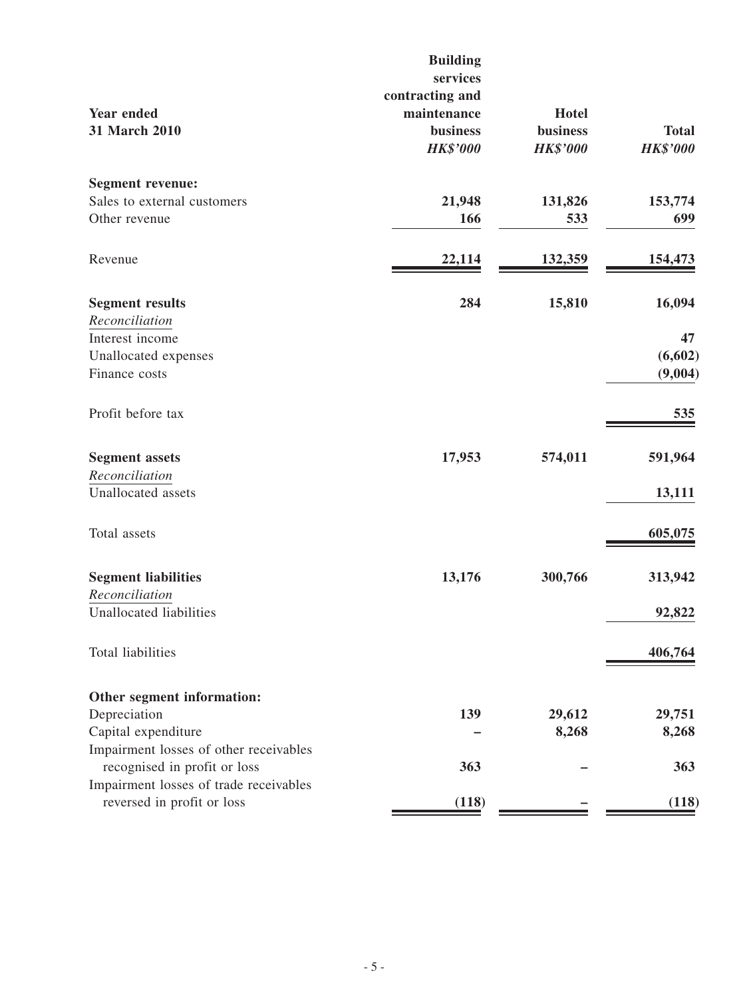| <b>Year ended</b><br>31 March 2010     | <b>Building</b><br>services<br>contracting and<br>maintenance<br><b>business</b><br><b>HK\$'000</b> | <b>Hotel</b><br>business<br><b>HK\$'000</b> | <b>Total</b><br><b>HK\$'000</b> |
|----------------------------------------|-----------------------------------------------------------------------------------------------------|---------------------------------------------|---------------------------------|
| <b>Segment revenue:</b>                |                                                                                                     |                                             |                                 |
| Sales to external customers            | 21,948                                                                                              | 131,826                                     | 153,774                         |
| Other revenue                          | 166                                                                                                 | 533                                         | 699                             |
| Revenue                                | 22,114                                                                                              | 132,359                                     | 154,473                         |
| <b>Segment results</b>                 | 284                                                                                                 | 15,810                                      | 16,094                          |
| Reconciliation                         |                                                                                                     |                                             |                                 |
| Interest income                        |                                                                                                     |                                             | 47                              |
| Unallocated expenses                   |                                                                                                     |                                             | (6,602)                         |
| Finance costs                          |                                                                                                     |                                             | (9,004)                         |
| Profit before tax                      |                                                                                                     |                                             | 535                             |
| <b>Segment assets</b>                  | 17,953                                                                                              | 574,011                                     | 591,964                         |
| Reconciliation                         |                                                                                                     |                                             |                                 |
| Unallocated assets                     |                                                                                                     |                                             | 13,111                          |
| Total assets                           |                                                                                                     |                                             | 605,075                         |
| <b>Segment liabilities</b>             | 13,176                                                                                              | 300,766                                     | 313,942                         |
| Reconciliation                         |                                                                                                     |                                             |                                 |
| Unallocated liabilities                |                                                                                                     |                                             | 92,822                          |
| Total liabilities                      |                                                                                                     |                                             | 406,764                         |
| Other segment information:             |                                                                                                     |                                             |                                 |
| Depreciation                           | 139                                                                                                 | 29,612                                      | 29,751                          |
| Capital expenditure                    |                                                                                                     | 8,268                                       | 8,268                           |
| Impairment losses of other receivables |                                                                                                     |                                             |                                 |
| recognised in profit or loss           | 363                                                                                                 |                                             | 363                             |
| Impairment losses of trade receivables |                                                                                                     |                                             |                                 |
| reversed in profit or loss             | (118)                                                                                               |                                             | (118)                           |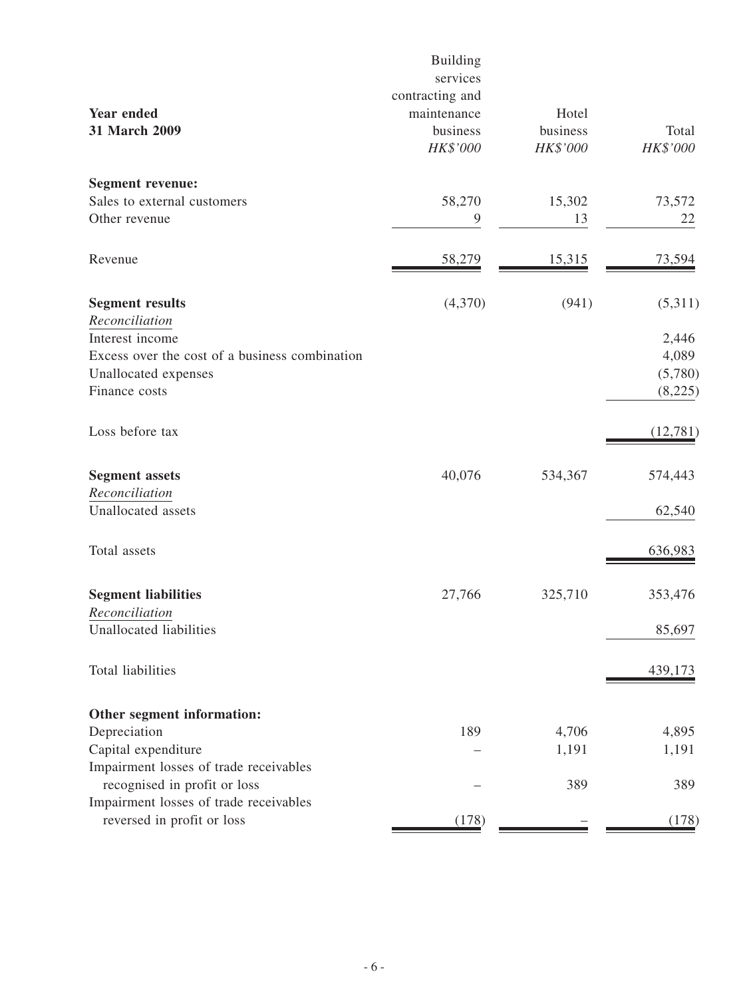| <b>Year ended</b><br>31 March 2009             | <b>Building</b><br>services<br>contracting and<br>maintenance<br>business<br>HK\$'000 | Hotel<br>business<br>HK\$'000 | Total<br>HK\$'000 |
|------------------------------------------------|---------------------------------------------------------------------------------------|-------------------------------|-------------------|
| <b>Segment revenue:</b>                        |                                                                                       |                               |                   |
| Sales to external customers                    | 58,270                                                                                | 15,302                        | 73,572            |
| Other revenue                                  | 9                                                                                     | 13                            | 22                |
| Revenue                                        | 58,279                                                                                | 15,315                        | <u>73,594</u>     |
| <b>Segment results</b>                         | (4,370)                                                                               | (941)                         | (5,311)           |
| Reconciliation                                 |                                                                                       |                               |                   |
| Interest income                                |                                                                                       |                               | 2,446             |
| Excess over the cost of a business combination |                                                                                       |                               | 4,089             |
| Unallocated expenses                           |                                                                                       |                               | (5,780)           |
| Finance costs                                  |                                                                                       |                               | (8,225)           |
| Loss before tax                                |                                                                                       |                               | (12,781)          |
| <b>Segment assets</b>                          | 40,076                                                                                | 534,367                       | 574,443           |
| Reconciliation                                 |                                                                                       |                               |                   |
| Unallocated assets                             |                                                                                       |                               | 62,540            |
| Total assets                                   |                                                                                       |                               | 636,983           |
| <b>Segment liabilities</b>                     | 27,766                                                                                | 325,710                       | 353,476           |
| Reconciliation                                 |                                                                                       |                               |                   |
| Unallocated liabilities                        |                                                                                       |                               | 85,697            |
| Total liabilities                              |                                                                                       |                               | 439,173           |
| Other segment information:                     |                                                                                       |                               |                   |
| Depreciation                                   | 189                                                                                   | 4,706                         | 4,895             |
| Capital expenditure                            |                                                                                       | 1,191                         | 1,191             |
| Impairment losses of trade receivables         |                                                                                       |                               |                   |
| recognised in profit or loss                   |                                                                                       | 389                           | 389               |
| Impairment losses of trade receivables         |                                                                                       |                               |                   |
| reversed in profit or loss                     | (178)                                                                                 |                               | (178)             |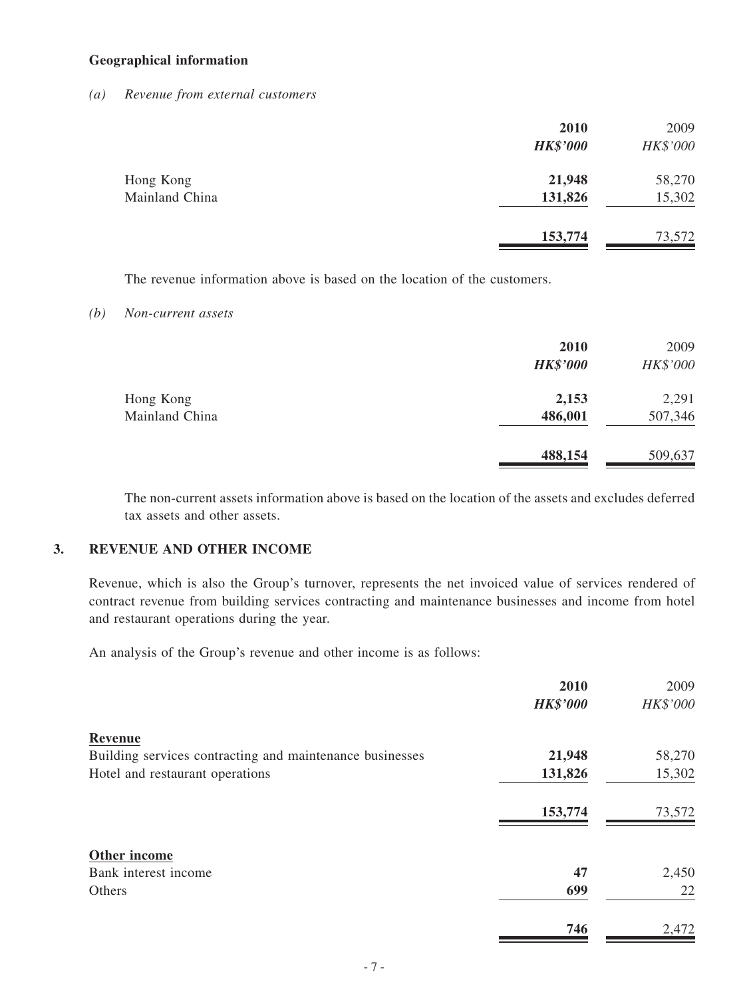#### **Geographical information**

#### *(a) Revenue from external customers*

|                | 2010<br><b>HK\$'000</b> | 2009<br>HK\$'000 |
|----------------|-------------------------|------------------|
| Hong Kong      | 21,948                  | 58,270           |
| Mainland China | 131,826                 | 15,302           |
|                | 153,774                 | 73,572           |

The revenue information above is based on the location of the customers.

#### *(b) Non-current assets*

|                | 2010<br><b>HK\$'000</b> | 2009<br>HK\$'000 |
|----------------|-------------------------|------------------|
| Hong Kong      | 2,153                   | 2,291            |
| Mainland China | 486,001                 | 507,346          |
|                | 488,154                 | 509,637          |

The non-current assets information above is based on the location of the assets and excludes deferred tax assets and other assets.

#### **3. REVENUE AND OTHER INCOME**

Revenue, which is also the Group's turnover, represents the net invoiced value of services rendered of contract revenue from building services contracting and maintenance businesses and income from hotel and restaurant operations during the year.

An analysis of the Group's revenue and other income is as follows:

|                                                          | 2010            | 2009     |
|----------------------------------------------------------|-----------------|----------|
|                                                          | <b>HK\$'000</b> | HK\$'000 |
| Revenue                                                  |                 |          |
| Building services contracting and maintenance businesses | 21,948          | 58,270   |
| Hotel and restaurant operations                          | 131,826         | 15,302   |
|                                                          | 153,774         | 73,572   |
| Other income                                             |                 |          |
| Bank interest income                                     | 47              | 2,450    |
| Others                                                   | 699             | 22       |
|                                                          | 746             | 2,472    |
|                                                          |                 |          |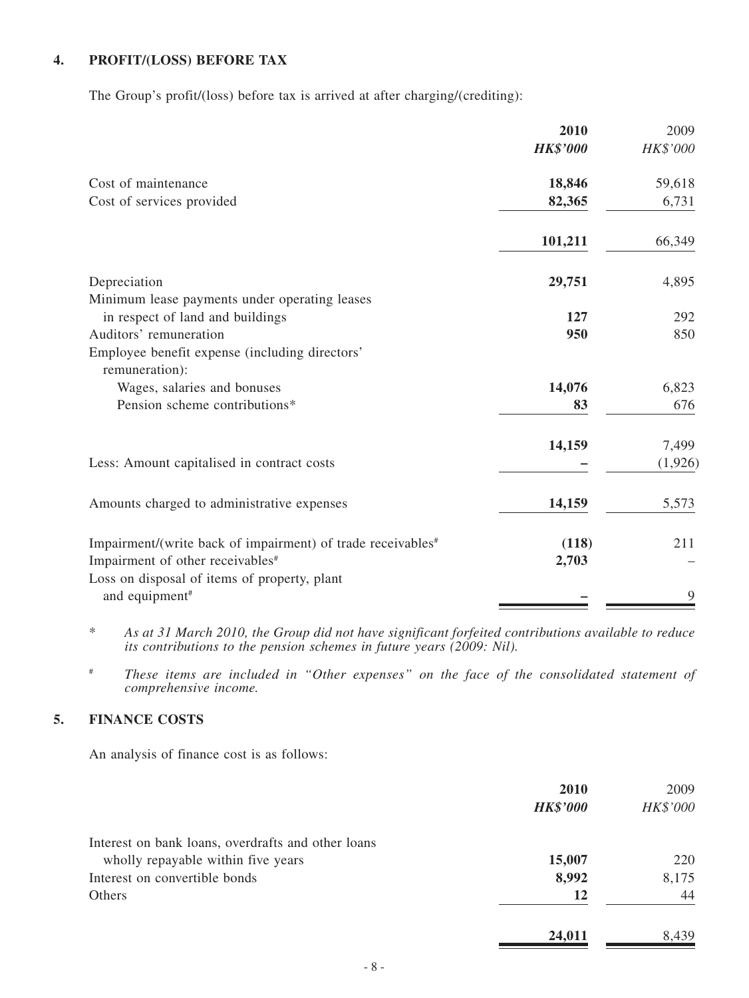# **4. PROFIT/(LOSS) BEFORE TAX**

The Group's profit/(loss) before tax is arrived at after charging/(crediting):

|                                                                         | 2010<br><b>HK\$'000</b> | 2009<br>HK\$'000 |
|-------------------------------------------------------------------------|-------------------------|------------------|
| Cost of maintenance                                                     | 18,846                  | 59,618           |
| Cost of services provided                                               | 82,365                  | 6,731            |
|                                                                         | 101,211                 | 66,349           |
| Depreciation                                                            | 29,751                  | 4,895            |
| Minimum lease payments under operating leases                           |                         |                  |
| in respect of land and buildings                                        | 127                     | 292              |
| Auditors' remuneration                                                  | 950                     | 850              |
| Employee benefit expense (including directors'<br>remuneration):        |                         |                  |
| Wages, salaries and bonuses                                             | 14,076                  | 6,823            |
| Pension scheme contributions*                                           | 83                      | 676              |
|                                                                         | 14,159                  | 7,499            |
| Less: Amount capitalised in contract costs                              |                         | (1,926)          |
| Amounts charged to administrative expenses                              | 14,159                  | 5,573            |
| Impairment/(write back of impairment) of trade receivables <sup>#</sup> | (118)                   | 211              |
| Impairment of other receivables <sup>#</sup>                            | 2,703                   |                  |
| Loss on disposal of items of property, plant                            |                         |                  |
| and equipment <sup>#</sup>                                              |                         | 9                |
|                                                                         |                         |                  |

\* *As at 31 March 2010, the Group did not have significant forfeited contributions available to reduce its contributions to the pension schemes in future years (2009: Nil).*

# *These items are included in "Other expenses" on the face of the consolidated statement of comprehensive income.*

### **5. FINANCE COSTS**

An analysis of finance cost is as follows:

|                                                    | 2010            | 2009     |
|----------------------------------------------------|-----------------|----------|
|                                                    | <b>HK\$'000</b> | HK\$'000 |
| Interest on bank loans, overdrafts and other loans |                 |          |
| wholly repayable within five years                 | 15,007          | 220      |
| Interest on convertible bonds                      | 8,992           | 8,175    |
| <b>Others</b>                                      | 12              | 44       |
|                                                    | 24,011          | 8,439    |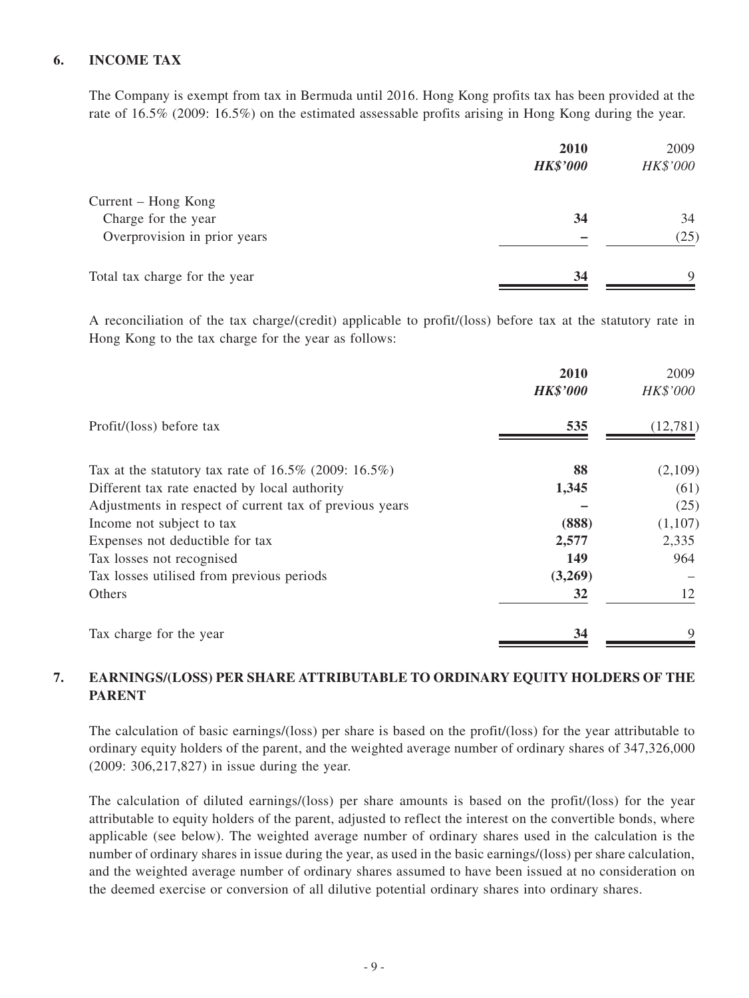### **6. income TAX**

The Company is exempt from tax in Bermuda until 2016. Hong Kong profits tax has been provided at the rate of 16.5% (2009: 16.5%) on the estimated assessable profits arising in Hong Kong during the year.

|                                            | 2010<br><b>HK\$'000</b> | 2009<br>HK\$'000 |
|--------------------------------------------|-------------------------|------------------|
| Current – Hong Kong<br>Charge for the year | 34                      | 34               |
| Overprovision in prior years               |                         | (25)             |
| Total tax charge for the year              | 34                      | $\mathbf Q$      |

A reconciliation of the tax charge/(credit) applicable to profit/(loss) before tax at the statutory rate in Hong Kong to the tax charge for the year as follows:

|                                                             | 2010<br><b>HK\$'000</b> | 2009<br>HK\$'000 |
|-------------------------------------------------------------|-------------------------|------------------|
| Profit/(loss) before tax                                    | 535                     | (12,781)         |
| Tax at the statutory tax rate of $16.5\%$ (2009: $16.5\%$ ) | 88                      | (2,109)          |
| Different tax rate enacted by local authority               | 1,345                   | (61)             |
| Adjustments in respect of current tax of previous years     |                         | (25)             |
| Income not subject to tax                                   | (888)                   | (1,107)          |
| Expenses not deductible for tax                             | 2,577                   | 2,335            |
| Tax losses not recognised                                   | 149                     | 964              |
| Tax losses utilised from previous periods                   | (3,269)                 |                  |
| Others                                                      | 32                      | 12               |
| Tax charge for the year                                     | 34                      |                  |

### **7. Earnings/(LOSS) PER SHARE ATTRIBUTABLE TO ORDINARY EQUITY HOLDERS OF THE PARENT**

The calculation of basic earnings/(loss) per share is based on the profit/(loss) for the year attributable to ordinary equity holders of the parent, and the weighted average number of ordinary shares of 347,326,000 (2009: 306,217,827) in issue during the year.

The calculation of diluted earnings/(loss) per share amounts is based on the profit/(loss) for the year attributable to equity holders of the parent, adjusted to reflect the interest on the convertible bonds, where applicable (see below). The weighted average number of ordinary shares used in the calculation is the number of ordinary shares in issue during the year, as used in the basic earnings/(loss) per share calculation, and the weighted average number of ordinary shares assumed to have been issued at no consideration on the deemed exercise or conversion of all dilutive potential ordinary shares into ordinary shares.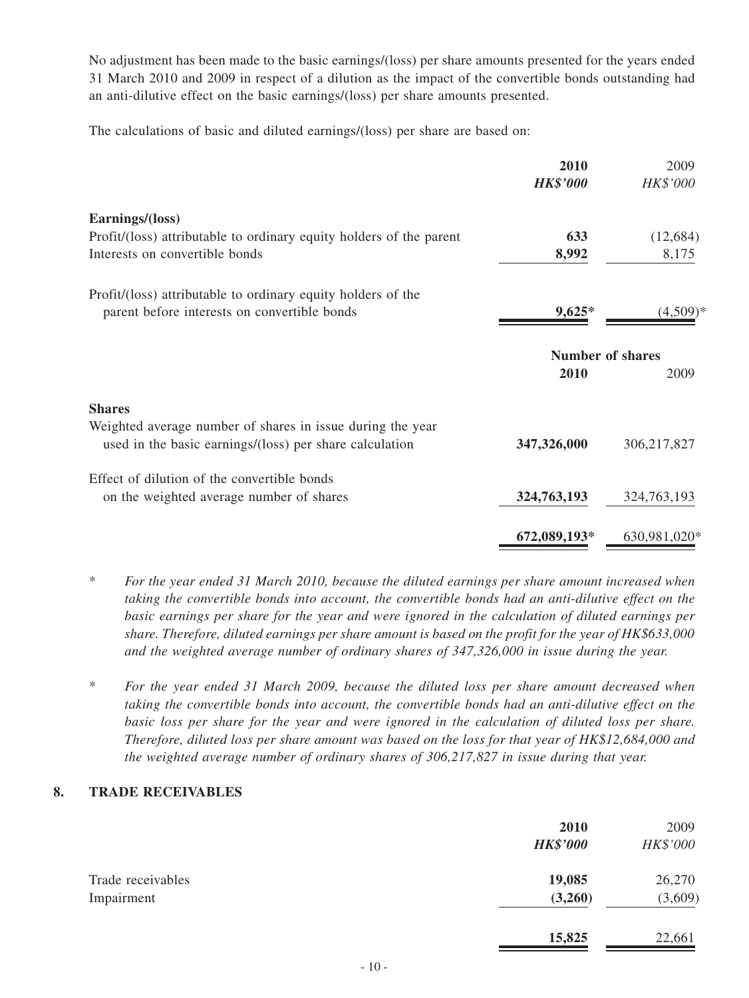No adjustment has been made to the basic earnings/(loss) per share amounts presented for the years ended 31 March 2010 and 2009 in respect of a dilution as the impact of the convertible bonds outstanding had an anti-dilutive effect on the basic earnings/(loss) per share amounts presented.

The calculations of basic and diluted earnings/(loss) per share are based on:

| 2010<br><b>HK\$'000</b> | 2009<br>HK\$'000                       |
|-------------------------|----------------------------------------|
|                         |                                        |
| 633                     | (12,684)                               |
| 8,992                   | 8,175                                  |
|                         |                                        |
| $9,625*$                | $(4,509)*$                             |
|                         |                                        |
| 2010                    | 2009                                   |
|                         |                                        |
|                         |                                        |
|                         | 306,217,827                            |
|                         |                                        |
| 324,763,193             | 324, 763, 193                          |
| 672,089,193*            | 630,981,020*                           |
|                         | <b>Number of shares</b><br>347,326,000 |

- \* *For the year ended 31 March 2010, because the diluted earnings per share amount increased when taking the convertible bonds into account, the convertible bonds had an anti-dilutive effect on the basic earnings per share for the year and were ignored in the calculation of diluted earnings per share. Therefore, diluted earnings per share amount is based on the profit for the year of HK\$633,000 and the weighted average number of ordinary shares of 347,326,000 in issue during the year.*
- \* *For the year ended 31 March 2009, because the diluted loss per share amount decreased when taking the convertible bonds into account, the convertible bonds had an anti-dilutive effect on the* basic loss per share for the year and were ignored in the calculation of diluted loss per share. *Therefore, diluted loss per share amount was based on the loss for that year of HK\$12,684,000 and the weighted average number of ordinary shares of 306,217,827 in issue during that year.*

#### **8. TRADE RECEIVABLES**

|                   | 2010<br><b>HK\$'000</b> | 2009<br>HK\$'000 |
|-------------------|-------------------------|------------------|
| Trade receivables | 19,085                  | 26,270           |
| Impairment        | (3,260)                 | (3,609)          |
|                   | 15,825                  | 22,661           |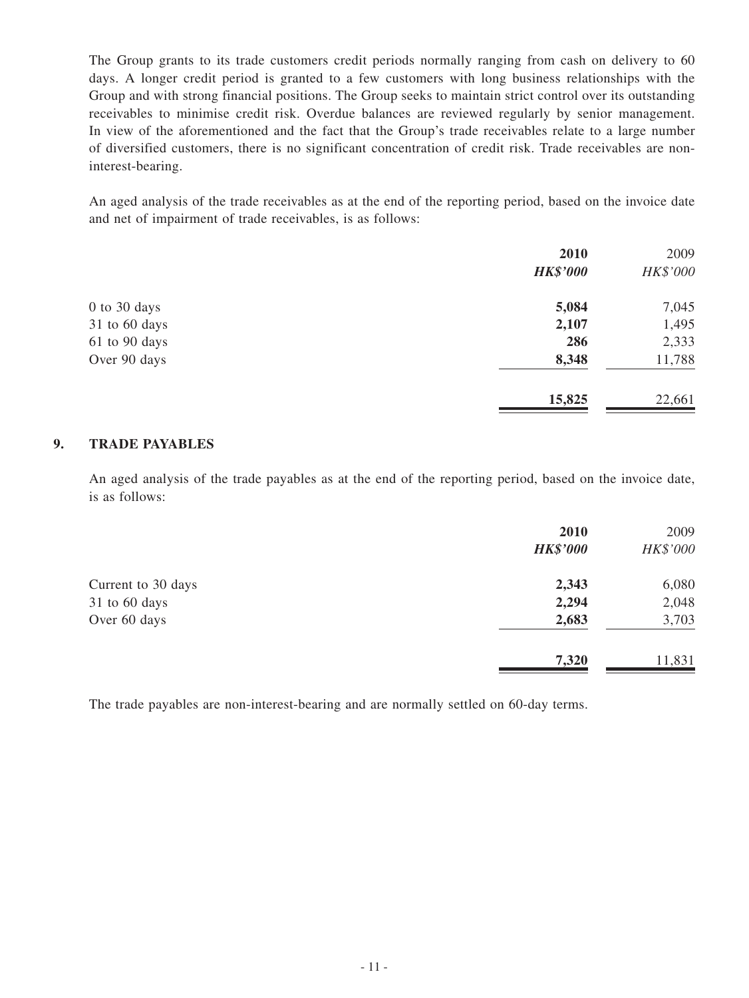The Group grants to its trade customers credit periods normally ranging from cash on delivery to 60 days. A longer credit period is granted to a few customers with long business relationships with the Group and with strong financial positions. The Group seeks to maintain strict control over its outstanding receivables to minimise credit risk. Overdue balances are reviewed regularly by senior management. In view of the aforementioned and the fact that the Group's trade receivables relate to a large number of diversified customers, there is no significant concentration of credit risk. Trade receivables are noninterest-bearing.

An aged analysis of the trade receivables as at the end of the reporting period, based on the invoice date and net of impairment of trade receivables, is as follows:

|                  | 2010            | 2009     |
|------------------|-----------------|----------|
|                  | <b>HK\$'000</b> | HK\$'000 |
| $0$ to $30$ days | 5,084           | 7,045    |
| 31 to 60 days    | 2,107           | 1,495    |
| 61 to 90 days    | 286             | 2,333    |
| Over 90 days     | 8,348           | 11,788   |
|                  | 15,825          | 22,661   |

#### **9. TRADE PAYABLES**

An aged analysis of the trade payables as at the end of the reporting period, based on the invoice date, is as follows:

|                    | 2010<br><b>HK\$'000</b> | 2009<br>HK\$'000 |
|--------------------|-------------------------|------------------|
| Current to 30 days | 2,343                   | 6,080            |
| 31 to 60 days      | 2,294                   | 2,048            |
| Over 60 days       | 2,683                   | 3,703            |
|                    | 7,320                   | 11,831           |

The trade payables are non-interest-bearing and are normally settled on 60-day terms.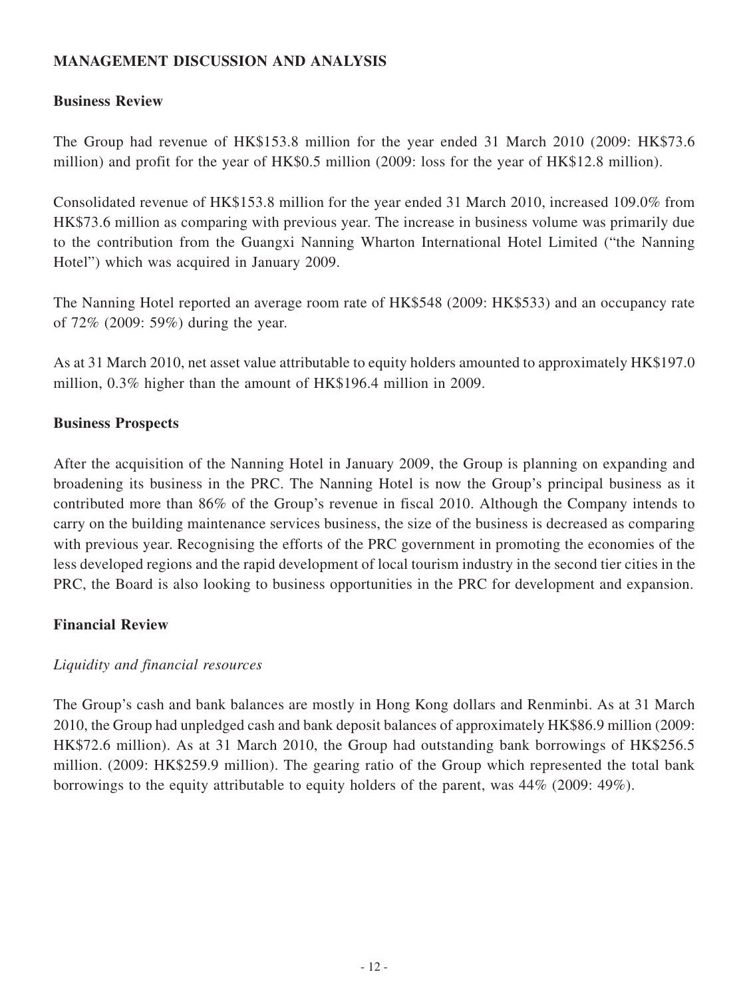# **MANAGEMENT DISCUSSION AND ANALYSIS**

## **Business Review**

The Group had revenue of HK\$153.8 million for the year ended 31 March 2010 (2009: HK\$73.6 million) and profit for the year of HK\$0.5 million (2009: loss for the year of HK\$12.8 million).

Consolidated revenue of HK\$153.8 million for the year ended 31 March 2010, increased 109.0% from HK\$73.6 million as comparing with previous year. The increase in business volume was primarily due to the contribution from the Guangxi Nanning Wharton International Hotel Limited ("the Nanning Hotel") which was acquired in January 2009.

The Nanning Hotel reported an average room rate of HK\$548 (2009: HK\$533) and an occupancy rate of 72% (2009: 59%) during the year.

As at 31 March 2010, net asset value attributable to equity holders amounted to approximately HK\$197.0 million, 0.3% higher than the amount of HK\$196.4 million in 2009.

### **Business Prospects**

After the acquisition of the Nanning Hotel in January 2009, the Group is planning on expanding and broadening its business in the PRC. The Nanning Hotel is now the Group's principal business as it contributed more than 86% of the Group's revenue in fiscal 2010. Although the Company intends to carry on the building maintenance services business, the size of the business is decreased as comparing with previous year. Recognising the efforts of the PRC government in promoting the economies of the less developed regions and the rapid development of local tourism industry in the second tier cities in the PRC, the Board is also looking to business opportunities in the PRC for development and expansion.

# **Financial Review**

# *Liquidity and financial resources*

The Group's cash and bank balances are mostly in Hong Kong dollars and Renminbi. As at 31 March 2010, the Group had unpledged cash and bank deposit balances of approximately HK\$86.9 million (2009: HK\$72.6 million). As at 31 March 2010, the Group had outstanding bank borrowings of HK\$256.5 million. (2009: HK\$259.9 million). The gearing ratio of the Group which represented the total bank borrowings to the equity attributable to equity holders of the parent, was 44% (2009: 49%).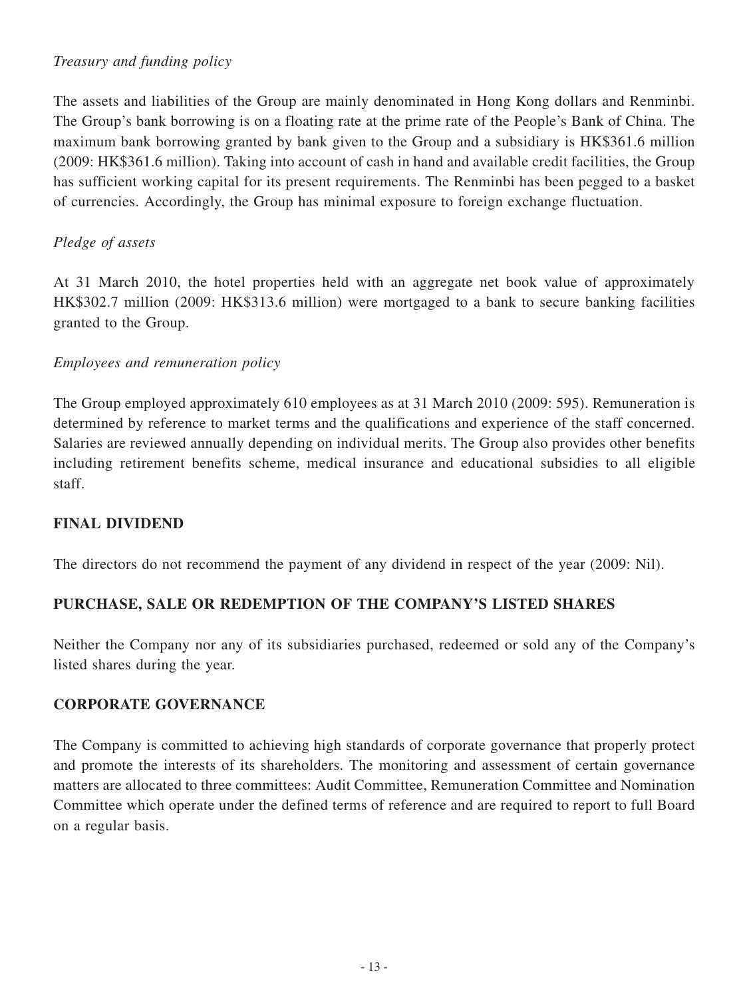# *Treasury and funding policy*

The assets and liabilities of the Group are mainly denominated in Hong Kong dollars and Renminbi. The Group's bank borrowing is on a floating rate at the prime rate of the People's Bank of China. The maximum bank borrowing granted by bank given to the Group and a subsidiary is HK\$361.6 million (2009: HK\$361.6 million). Taking into account of cash in hand and available credit facilities, the Group has sufficient working capital for its present requirements. The Renminbi has been pegged to a basket of currencies. Accordingly, the Group has minimal exposure to foreign exchange fluctuation.

# *Pledge of assets*

At 31 March 2010, the hotel properties held with an aggregate net book value of approximately HK\$302.7 million (2009: HK\$313.6 million) were mortgaged to a bank to secure banking facilities granted to the Group.

# *Employees and remuneration policy*

The Group employed approximately 610 employees as at 31 March 2010 (2009: 595). Remuneration is determined by reference to market terms and the qualifications and experience of the staff concerned. Salaries are reviewed annually depending on individual merits. The Group also provides other benefits including retirement benefits scheme, medical insurance and educational subsidies to all eligible staff.

# **FINAL DIVIDEND**

The directors do not recommend the payment of any dividend in respect of the year (2009: Nil).

# **PURCHASE, SALE OR REDEMPTION OF THE COMPANY'S LISTED SHARES**

Neither the Company nor any of its subsidiaries purchased, redeemed or sold any of the Company's listed shares during the year.

# **CORPORATE GOVERNANCE**

The Company is committed to achieving high standards of corporate governance that properly protect and promote the interests of its shareholders. The monitoring and assessment of certain governance matters are allocated to three committees: Audit Committee, Remuneration Committee and Nomination Committee which operate under the defined terms of reference and are required to report to full Board on a regular basis.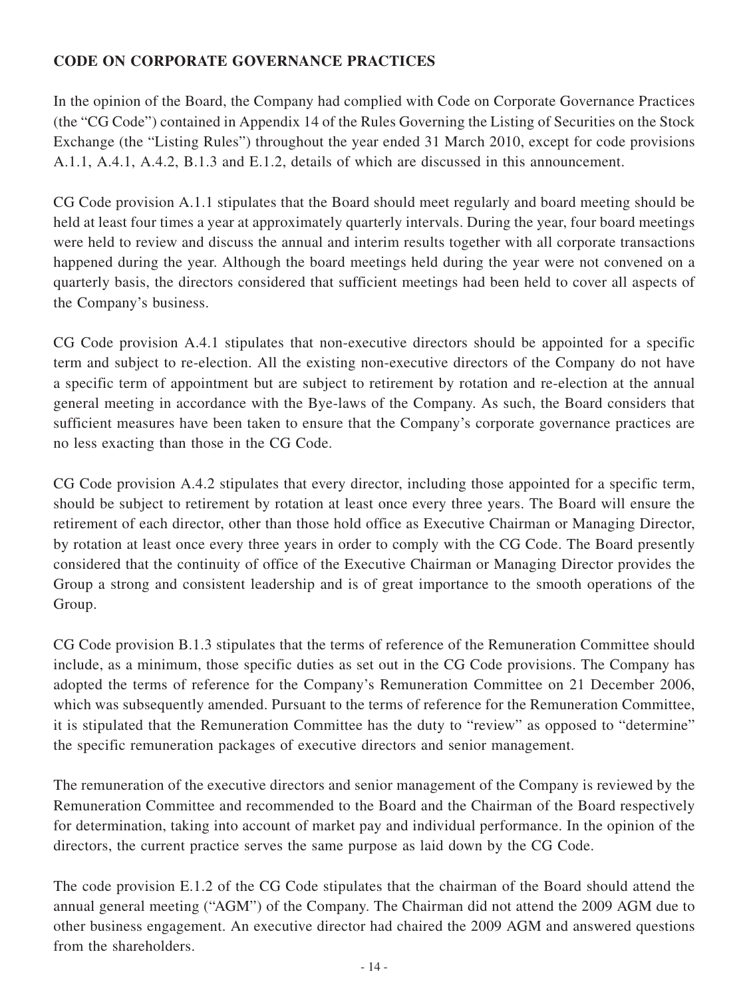# **CODE ON CORPORATE GOVERNANCE PRACTICES**

In the opinion of the Board, the Company had complied with Code on Corporate Governance Practices (the "CG Code") contained in Appendix 14 of the Rules Governing the Listing of Securities on the Stock Exchange (the "Listing Rules") throughout the year ended 31 March 2010, except for code provisions A.1.1, A.4.1, A.4.2, B.1.3 and E.1.2, details of which are discussed in this announcement.

CG Code provision A.1.1 stipulates that the Board should meet regularly and board meeting should be held at least four times a year at approximately quarterly intervals. During the year, four board meetings were held to review and discuss the annual and interim results together with all corporate transactions happened during the year. Although the board meetings held during the year were not convened on a quarterly basis, the directors considered that sufficient meetings had been held to cover all aspects of the Company's business.

CG Code provision A.4.1 stipulates that non-executive directors should be appointed for a specific term and subject to re-election. All the existing non-executive directors of the Company do not have a specific term of appointment but are subject to retirement by rotation and re-election at the annual general meeting in accordance with the Bye-laws of the Company. As such, the Board considers that sufficient measures have been taken to ensure that the Company's corporate governance practices are no less exacting than those in the CG Code.

CG Code provision A.4.2 stipulates that every director, including those appointed for a specific term, should be subject to retirement by rotation at least once every three years. The Board will ensure the retirement of each director, other than those hold office as Executive Chairman or Managing Director, by rotation at least once every three years in order to comply with the CG Code. The Board presently considered that the continuity of office of the Executive Chairman or Managing Director provides the Group a strong and consistent leadership and is of great importance to the smooth operations of the Group.

CG Code provision B.1.3 stipulates that the terms of reference of the Remuneration Committee should include, as a minimum, those specific duties as set out in the CG Code provisions. The Company has adopted the terms of reference for the Company's Remuneration Committee on 21 December 2006, which was subsequently amended. Pursuant to the terms of reference for the Remuneration Committee, it is stipulated that the Remuneration Committee has the duty to "review" as opposed to "determine" the specific remuneration packages of executive directors and senior management.

The remuneration of the executive directors and senior management of the Company is reviewed by the Remuneration Committee and recommended to the Board and the Chairman of the Board respectively for determination, taking into account of market pay and individual performance. In the opinion of the directors, the current practice serves the same purpose as laid down by the CG Code.

The code provision E.1.2 of the CG Code stipulates that the chairman of the Board should attend the annual general meeting ("AGM") of the Company. The Chairman did not attend the 2009 AGM due to other business engagement. An executive director had chaired the 2009 AGM and answered questions from the shareholders.